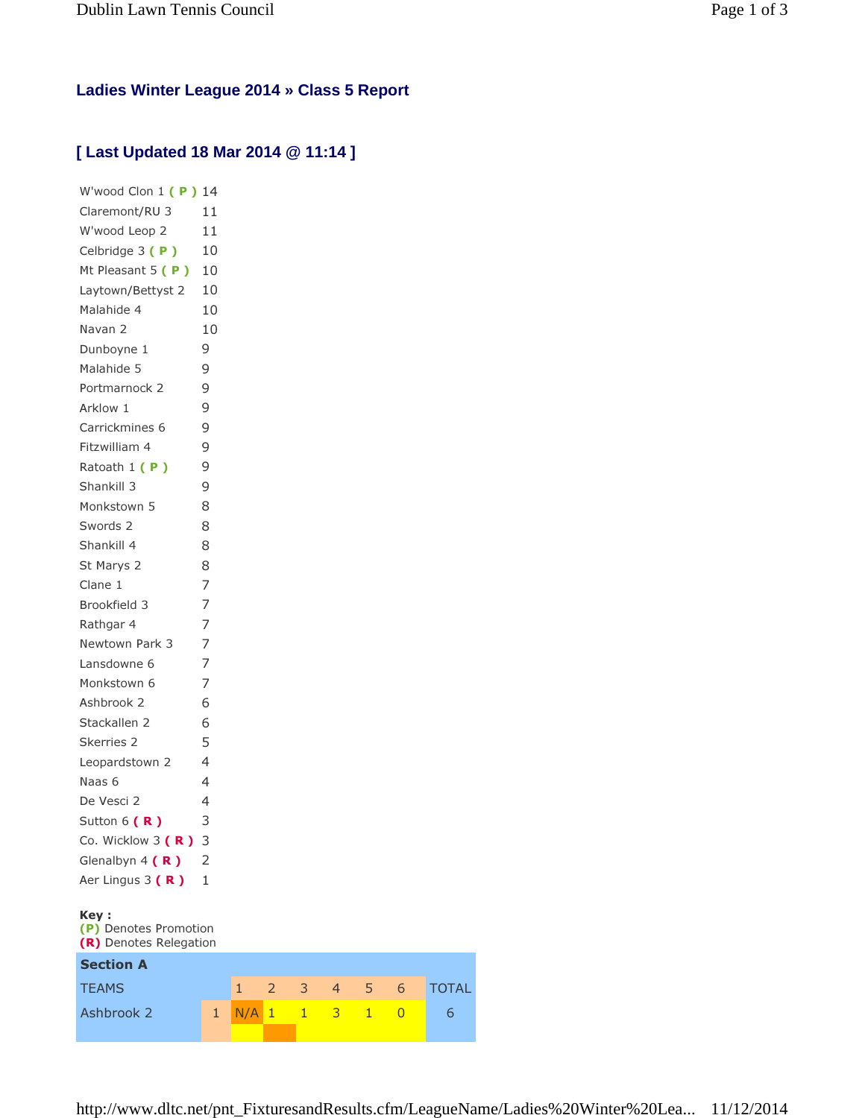## **Ladies Winter League 2014 » Class 5 Report**

## **[ Last Updated 18 Mar 2014 @ 11:14 ]**

| W'wood Clon $1(P)$ 14                           |                |              |                |              |                |   |                |      |
|-------------------------------------------------|----------------|--------------|----------------|--------------|----------------|---|----------------|------|
| Claremont/RU 3                                  | 11             |              |                |              |                |   |                |      |
| W'wood Leop 2                                   | 11             |              |                |              |                |   |                |      |
| Celbridge 3 (P)                                 | 10             |              |                |              |                |   |                |      |
| Mt Pleasant $5(P)$                              | 10             |              |                |              |                |   |                |      |
| Laytown/Bettyst 2                               | 10             |              |                |              |                |   |                |      |
| Malahide 4                                      | 10             |              |                |              |                |   |                |      |
| Navan 2                                         | 10             |              |                |              |                |   |                |      |
| Dunboyne 1                                      | 9              |              |                |              |                |   |                |      |
| Malahide 5                                      | 9              |              |                |              |                |   |                |      |
| Portmarnock 2                                   | 9              |              |                |              |                |   |                |      |
| Arklow 1                                        | 9              |              |                |              |                |   |                |      |
| Carrickmines 6                                  | 9              |              |                |              |                |   |                |      |
| Fitzwilliam 4                                   | 9              |              |                |              |                |   |                |      |
| Ratoath 1 (P)                                   | 9              |              |                |              |                |   |                |      |
| Shankill 3                                      | 9              |              |                |              |                |   |                |      |
| Monkstown 5                                     | 8              |              |                |              |                |   |                |      |
| Swords 2                                        | 8              |              |                |              |                |   |                |      |
| Shankill 4                                      | 8              |              |                |              |                |   |                |      |
| St Marys 2                                      | 8              |              |                |              |                |   |                |      |
| Clane 1                                         | 7              |              |                |              |                |   |                |      |
| Brookfield 3                                    | 7              |              |                |              |                |   |                |      |
| Rathgar 4                                       | 7              |              |                |              |                |   |                |      |
| Newtown Park 3                                  | 7              |              |                |              |                |   |                |      |
| Lansdowne 6                                     | 7              |              |                |              |                |   |                |      |
| Monkstown 6                                     | 7              |              |                |              |                |   |                |      |
| Ashbrook 2                                      | 6              |              |                |              |                |   |                |      |
| Stackallen 2                                    | 6              |              |                |              |                |   |                |      |
| Skerries 2                                      | 5              |              |                |              |                |   |                |      |
| Leopardstown 2                                  | 4              |              |                |              |                |   |                |      |
| Naas 6                                          | 4              |              |                |              |                |   |                |      |
| De Vesci 2                                      | 4              |              |                |              |                |   |                |      |
| Sutton $6(R)$                                   | 3              |              |                |              |                |   |                |      |
| Co. Wicklow 3 (R)                               | 3              |              |                |              |                |   |                |      |
| Glenalbyn $4(R)$                                | 2              |              |                |              |                |   |                |      |
| Aer Lingus 3 (R)                                | $\mathbf{1}$   |              |                |              |                |   |                |      |
|                                                 |                |              |                |              |                |   |                |      |
| Key:                                            |                |              |                |              |                |   |                |      |
| (P) Denotes Promotion<br>(R) Denotes Relegation |                |              |                |              |                |   |                |      |
| <b>Section A</b>                                |                |              |                |              |                |   |                |      |
| <b>TEAMS</b>                                    |                | $\mathbf{1}$ | $\overline{2}$ | 3            | $\overline{4}$ | 5 | 6              | TOT. |
|                                                 |                |              |                |              |                |   |                |      |
| Ashbrook 2                                      | $\overline{1}$ | N/A          | $\mathbf{1}$   | $\mathbf{1}$ | 3              | 1 | $\overline{0}$ | 6    |

3 4 5 6 TOTAL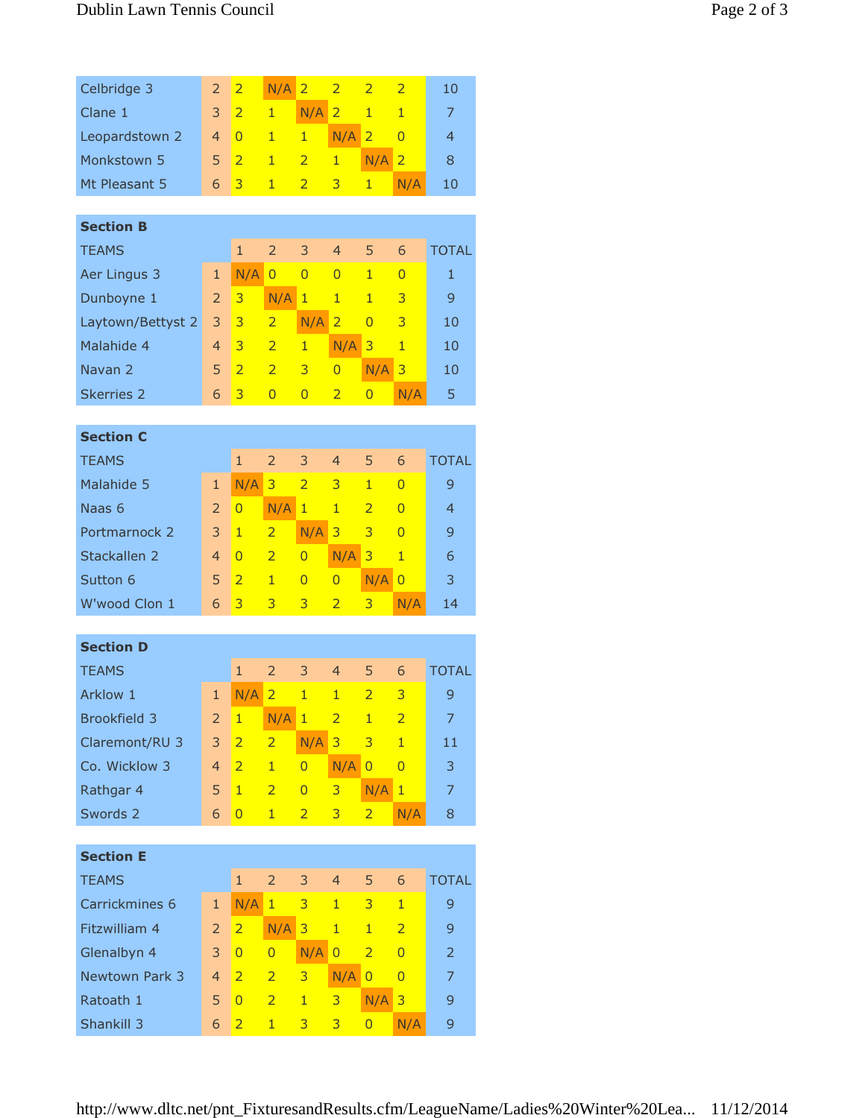| Celbridge 3           | $\overline{2}$ | $\overline{2}$ | N/A            | $\overline{2}$ | $\overline{2}$ | $\overline{2}$ | $\overline{2}$ | 10             |  |  |
|-----------------------|----------------|----------------|----------------|----------------|----------------|----------------|----------------|----------------|--|--|
| Clane 1               | 3              | $\overline{2}$ | $\mathbf{1}$   | N/A            | $\overline{2}$ | $\mathbf{1}$   | $\mathbf{1}$   | 7              |  |  |
| Leopardstown 2        | $\overline{4}$ | $\Omega$       | 1              | $\mathbf{1}$   | N/A            | $\overline{2}$ | $\overline{0}$ | $\overline{4}$ |  |  |
| Monkstown 5           | 5              | $\overline{2}$ | $\mathbf{1}$   | $\overline{2}$ | $\mathbf{1}$   | N/A            | $\overline{2}$ | 8              |  |  |
| Mt Pleasant 5         | 6              | 3              | $\mathbf{1}$   | $\overline{2}$ | 3              | $\mathbf{1}$   | N/A            | 10             |  |  |
|                       |                |                |                |                |                |                |                |                |  |  |
| <b>Section B</b>      |                |                |                |                |                |                |                |                |  |  |
| <b>TEAMS</b>          | $\mathbf{1}$   | $\overline{2}$ | 3              | $\overline{4}$ | 5              | 6              | <b>TOTAL</b>   |                |  |  |
| Aer Lingus 3          | $\mathbf{1}$   | N/A            | $\overline{0}$ | $\overline{0}$ | $\overline{0}$ | $\overline{1}$ | $\overline{0}$ | $\mathbf{1}$   |  |  |
| Dunboyne 1            | $\overline{2}$ | 3              | N/A            | 1              | $\mathbf{1}$   | $\blacksquare$ | 3              | 9              |  |  |
| Laytown/Bettyst 2     | 3              | $\overline{3}$ | $\overline{2}$ | N/A            | $\overline{2}$ | $\Omega$       | 3              | 10             |  |  |
| Malahide 4            | $\overline{4}$ | 3              | $\overline{2}$ | $\mathbf{1}$   | N/A            | 3              | $\mathbf{1}$   | 10             |  |  |
| Navan <sub>2</sub>    | 5              | $\overline{2}$ | $\overline{2}$ | 3              | $\overline{0}$ | N/A            | 3              | 10             |  |  |
| <b>Skerries 2</b>     | 6              | 3              | $\overline{0}$ | $\overline{0}$ | $\overline{2}$ | $\overline{0}$ | N/A            | 5              |  |  |
|                       |                |                |                |                |                |                |                |                |  |  |
| <b>Section C</b>      |                |                |                |                |                |                |                |                |  |  |
| <b>TEAMS</b>          |                | $\mathbf{1}$   | $\overline{2}$ | 3              | $\overline{4}$ | 5              | 6              | <b>TOTAL</b>   |  |  |
| Malahide 5            | $\mathbf{1}$   | N/A            | 3              | $\overline{2}$ | 3              | 1              | 0              | 9              |  |  |
| Naas 6                | $\overline{2}$ | 0              | N/A            | $\mathbf{1}$   | $\mathbf{1}$   | $\overline{2}$ | $\Omega$       | $\overline{4}$ |  |  |
| Portmarnock 2         | 3              | $\mathbf{1}$   | $\overline{2}$ | N/A            | 3              | 3              | $\overline{0}$ | 9              |  |  |
| Stackallen 2          | $\overline{4}$ | $\overline{0}$ | $\overline{2}$ | $\overline{0}$ | N/A            | 3              | $\overline{1}$ | 6              |  |  |
| Sutton 6              | 5              | $\overline{2}$ | $\mathbf{1}$   | $\overline{0}$ | $\overline{0}$ | N/A            | $\overline{0}$ | 3              |  |  |
| W'wood Clon 1         | 6              | 3              | 3              | 3              | $\overline{2}$ | 3              | N/A            | 14             |  |  |
|                       |                |                |                |                |                |                |                |                |  |  |
| <b>Section D</b>      |                |                |                |                |                |                |                |                |  |  |
| <b>TEAMS</b>          | $\mathbf{1}$   | $\overline{2}$ | 3              | $\overline{4}$ | 5              | 6              | <b>TOTAL</b>   |                |  |  |
| Arklow 1              | $\mathbf{1}$   | N/A            | $\overline{2}$ | 1              | $\overline{1}$ | $\overline{a}$ | 3              | 9              |  |  |
| Brookfield 3          | $\overline{2}$ | $\mathbf{1}$   | N/A            | $\mathbf{1}$   | $\overline{2}$ | $\mathbf{1}$   | $\overline{2}$ | $\overline{7}$ |  |  |
| Claremont/RU 3        | 3              | $\overline{2}$ | $\overline{2}$ | N/A            | $\overline{3}$ | 3              | $\mathbf{1}$   | 11             |  |  |
| Co. Wicklow 3         | 4              | $\overline{2}$ | $\mathbf{1}$   | $\overline{0}$ | N/A            | $\overline{0}$ | $\overline{0}$ | 3              |  |  |
| Rathgar 4             | 5              | $\mathbf{1}$   | $\overline{2}$ | $\overline{0}$ | 3              | N/A            | $\mathbf{1}$   | 7              |  |  |
| Swords 2              | 6              | 0              | $\mathbf{1}$   | $\overline{2}$ | 3              | $\overline{2}$ | N/A            | 8              |  |  |
|                       |                |                |                |                |                |                |                |                |  |  |
| <b>Section E</b>      |                |                |                |                |                |                |                |                |  |  |
| <b>TEAMS</b>          |                | $\mathbf{1}$   | $\overline{2}$ | 3              | $\overline{4}$ | 5              | 6              | <b>TOTAL</b>   |  |  |
| Carrickmines 6        | $\mathbf{1}$   | N/A            | $\mathbf{1}$   | 3              | 1              | 3              | $\mathbf{1}$   | 9              |  |  |
| Fitzwilliam 4         | $\overline{2}$ | $\overline{2}$ | N/A            | 3              | $\mathbf{1}$   | $\mathbf{1}$   | $\overline{2}$ | 9              |  |  |
| Glenalbyn 4           | 3              | $\overline{0}$ | $\overline{0}$ | N/A            | $\overline{0}$ | $\overline{2}$ | $\overline{0}$ | $\overline{2}$ |  |  |
| <b>Newtown Park 3</b> | 4              | $\overline{2}$ | $\overline{2}$ | 3              | N/A            | $\overline{0}$ | $\overline{0}$ | 7              |  |  |
| Ratoath 1             | 5              | $\overline{0}$ | $\overline{2}$ | $\mathbf{1}$   | 3              | N/A            | 3              | 9              |  |  |
| Shankill 3            | 6              | $\overline{2}$ | $\mathbf{1}$   | 3              | 3              | $\overline{0}$ | N/A            | 9              |  |  |